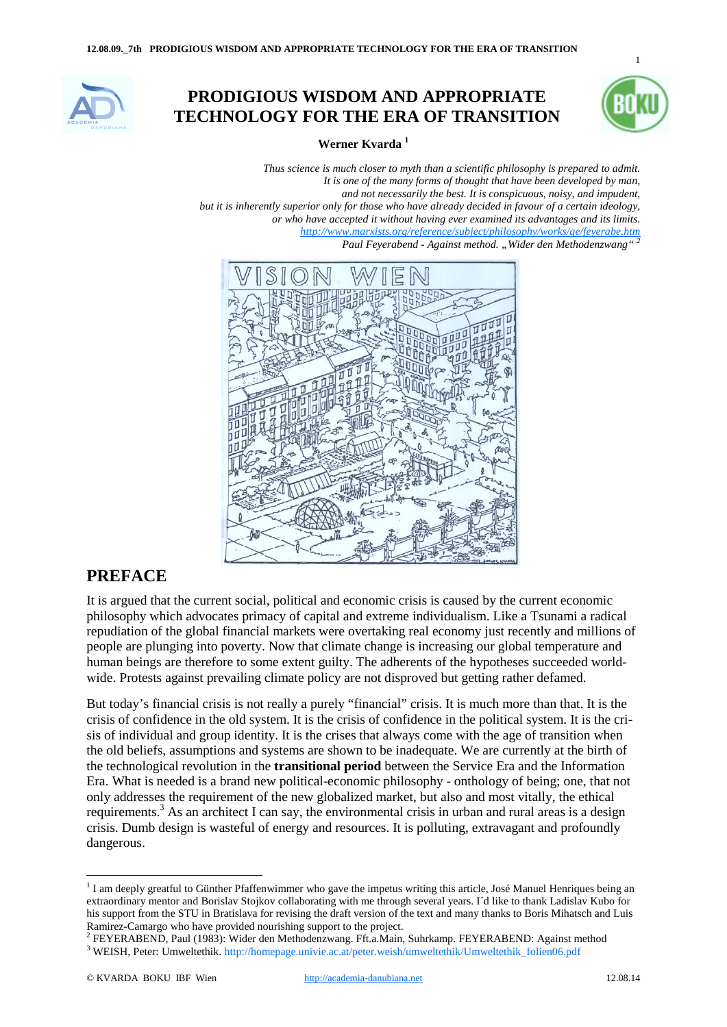

## **PRODIGIOUS WISDOM AND APPROPRIATE TECHNOLOGY FOR THE ERA OF TRANSITION**



1

**Werner Kvarda 1**

*Thus science is much closer to myth than a scientific philosophy is prepared to admit. It is one of the many forms of thought that have been developed by man, and not necessarily the best. It is conspicuous, noisy, and impudent, but it is inherently superior only for those who have already decided in favour of a certain ideology, or who have accepted it without having ever examined its advantages and its limits. http://www.marxists.org/reference/subject/philosophy/works/ge/feyerabe.htm Paul Feyerabend - Against method. "Wider den Methodenzwang" <sup>2</sup>*



## **PREFACE**

It is argued that the current social, political and economic crisis is caused by the current economic philosophy which advocates primacy of capital and extreme individualism. Like a Tsunami a radical repudiation of the global financial markets were overtaking real economy just recently and millions of people are plunging into poverty. Now that climate change is increasing our global temperature and human beings are therefore to some extent guilty. The adherents of the hypotheses succeeded worldwide. Protests against prevailing climate policy are not disproved but getting rather defamed.

But today's financial crisis is not really a purely "financial" crisis. It is much more than that. It is the crisis of confidence in the old system. It is the crisis of confidence in the political system. It is the crisis of individual and group identity. It is the crises that always come with the age of transition when the old beliefs, assumptions and systems are shown to be inadequate. We are currently at the birth of the technological revolution in the **transitional period** between the Service Era and the Information Era. What is needed is a brand new political-economic philosophy - onthology of being; one, that not only addresses the requirement of the new globalized market, but also and most vitally, the ethical requirements.<sup>3</sup> As an architect I can say, the environmental crisis in urban and rural areas is a design crisis. Dumb design is wasteful of energy and resources. It is polluting, extravagant and profoundly dangerous.

 $1$  I am deeply greatful to Günther Pfaffenwimmer who gave the impetus writing this article, José Manuel Henriques being an extraordinary mentor and Borislav Stojkov collaborating with me through several years. I´d like to thank Ladislav Kubo for his support from the STU in Bratislava for revising the draft version of the text and many thanks to Boris Mihatsch and Luis

Ramirez-Camargo who have provided nourishing support to the project.<br>
<sup>2</sup> FEYERABEND, Paul (1983): Wider den Methodenzwang. Fft.a.Main, Suhrkamp. FEYERABEND: Against method<br>
<sup>3</sup> WEISH, Peter: Umweltethik. http://homepage.u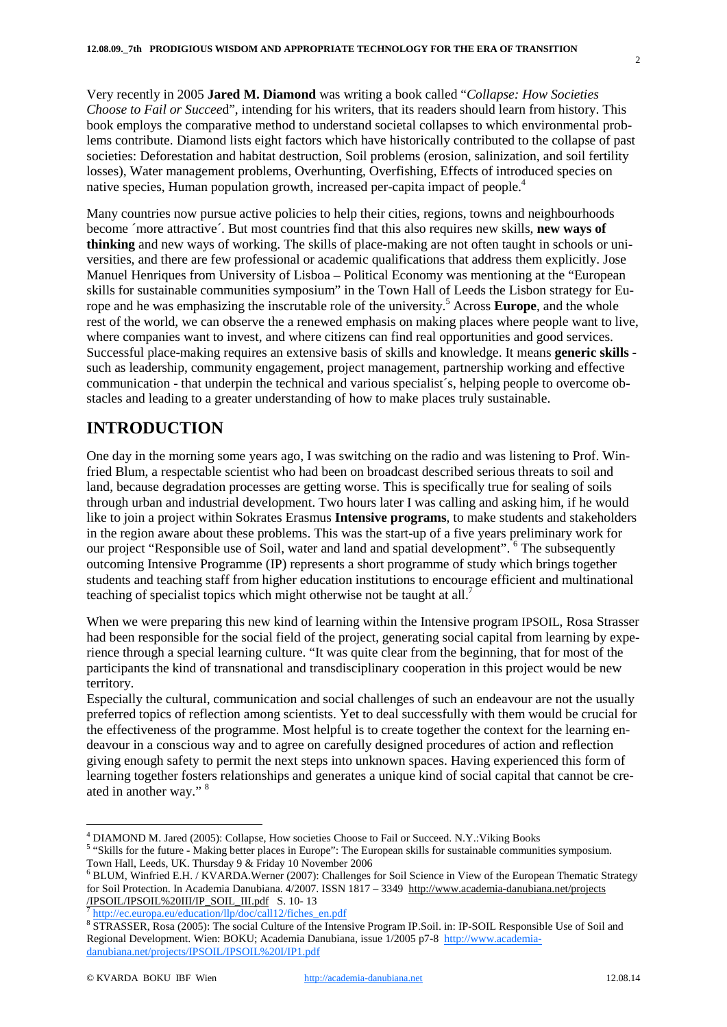Very recently in 2005 **Jared M. Diamond** was writing a book called "*Collapse: How Societies Choose to Fail or Succee*d", intending for his writers, that its readers should learn from history. This book employs the comparative method to understand societal collapses to which environmental problems contribute. Diamond lists eight factors which have historically contributed to the collapse of past societies: Deforestation and habitat destruction, Soil problems (erosion, salinization, and soil fertility losses), Water management problems, Overhunting, Overfishing, Effects of introduced species on native species, Human population growth, increased per-capita impact of people.<sup>4</sup>

Many countries now pursue active policies to help their cities, regions, towns and neighbourhoods become ´more attractive´. But most countries find that this also requires new skills, **new ways of thinking** and new ways of working. The skills of place-making are not often taught in schools or universities, and there are few professional or academic qualifications that address them explicitly. Jose Manuel Henriques from University of Lisboa – Political Economy was mentioning at the "European skills for sustainable communities symposium" in the Town Hall of Leeds the Lisbon strategy for Europe and he was emphasizing the inscrutable role of the university.<sup>5</sup> Across **Europe**, and the whole rest of the world, we can observe the a renewed emphasis on making places where people want to live, where companies want to invest, and where citizens can find real opportunities and good services. Successful place-making requires an extensive basis of skills and knowledge. It means **generic skills**  such as leadership, community engagement, project management, partnership working and effective communication - that underpin the technical and various specialist´s, helping people to overcome obstacles and leading to a greater understanding of how to make places truly sustainable.

# **INTRODUCTION**

One day in the morning some years ago, I was switching on the radio and was listening to Prof. Winfried Blum, a respectable scientist who had been on broadcast described serious threats to soil and land, because degradation processes are getting worse. This is specifically true for sealing of soils through urban and industrial development. Two hours later I was calling and asking him, if he would like to join a project within Sokrates Erasmus **Intensive programs**, to make students and stakeholders in the region aware about these problems. This was the start-up of a five years preliminary work for our project "Responsible use of Soil, water and land and spatial development". <sup>6</sup> The subsequently outcoming Intensive Programme (IP) represents a short programme of study which brings together students and teaching staff from higher education institutions to encourage efficient and multinational teaching of specialist topics which might otherwise not be taught at all.<sup>7</sup>

When we were preparing this new kind of learning within the Intensive program IPSOIL, Rosa Strasser had been responsible for the social field of the project, generating social capital from learning by experience through a special learning culture. "It was quite clear from the beginning, that for most of the participants the kind of transnational and transdisciplinary cooperation in this project would be new territory.

Especially the cultural, communication and social challenges of such an endeavour are not the usually preferred topics of reflection among scientists. Yet to deal successfully with them would be crucial for the effectiveness of the programme. Most helpful is to create together the context for the learning endeavour in a conscious way and to agree on carefully designed procedures of action and reflection giving enough safety to permit the next steps into unknown spaces. Having experienced this form of learning together fosters relationships and generates a unique kind of social capital that cannot be created in another way." 8

<sup>5</sup> "Skills for the future - Making better places in Europe": The European skills for sustainable communities symposium. Town Hall, Leeds, UK. Thursday 9 & Friday 10 November 2006

 <sup>4</sup> DIAMOND M. Jared (2005): Collapse, How societies Choose to Fail or Succeed. N.Y.:Viking Books

<sup>6</sup> BLUM, Winfried E.H. / KVARDA.Werner (2007): Challenges for Soil Science in View of the European Thematic Strategy for Soil Protection. In Academia Danubiana. 4/2007. ISSN 1817 - 3349 http://www.academia-danubiana.net/projects  $\frac{\text{TPSOL} / \text{TPSOL}}{\text{http://ec.europa.eu/eduction/lp/doc/call12/fibes_en.pdf}}$ 

<sup>&</sup>lt;sup>8</sup> STRASSER, Rosa (2005): The social Culture of the Intensive Program IP.Soil. in: IP-SOIL Responsible Use of Soil and Regional Development. Wien: BOKU; Academia Danubiana, issue 1/2005 p7-8 http://www.academiadanubiana.net/projects/IPSOIL/IPSOIL%20I/IP1.pdf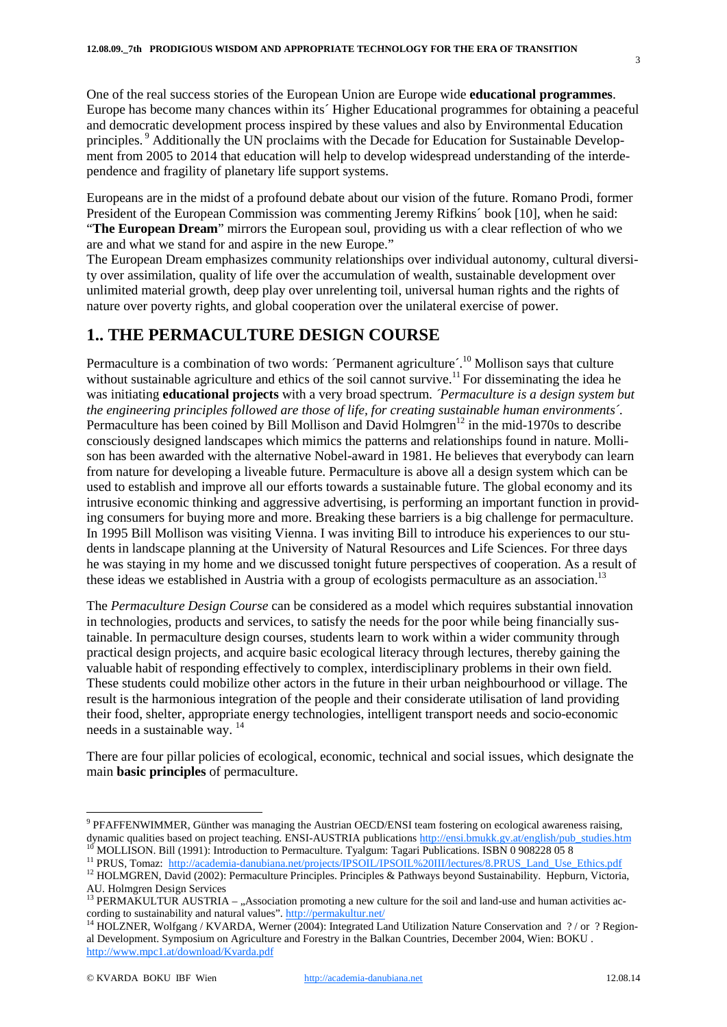One of the real success stories of the European Union are Europe wide **educational programmes**. Europe has become many chances within its´ Higher Educational programmes for obtaining a peaceful and democratic development process inspired by these values and also by Environmental Education principles. <sup>9</sup> Additionally the UN proclaims with the Decade for Education for Sustainable Development from 2005 to 2014 that education will help to develop widespread understanding of the interdependence and fragility of planetary life support systems.

Europeans are in the midst of a profound debate about our vision of the future. Romano Prodi, former President of the European Commission was commenting Jeremy Rifkins´ book [10], when he said: "**The European Dream**" mirrors the European soul, providing us with a clear reflection of who we are and what we stand for and aspire in the new Europe."

The European Dream emphasizes community relationships over individual autonomy, cultural diversity over assimilation, quality of life over the accumulation of wealth, sustainable development over unlimited material growth, deep play over unrelenting toil, universal human rights and the rights of nature over poverty rights, and global cooperation over the unilateral exercise of power.

## **1.. THE PERMACULTURE DESIGN COURSE**

Permaculture is a combination of two words: 'Permanent agriculture'.<sup>10</sup> Mollison says that culture without sustainable agriculture and ethics of the soil cannot survive.<sup>11</sup> For disseminating the idea he was initiating **educational projects** with a very broad spectrum. *´Permaculture is a design system but the engineering principles followed are those of life, for creating sustainable human environments´.* Permaculture has been coined by Bill Mollison and David Holmgren<sup>12</sup> in the mid-1970s to describe consciously designed landscapes which mimics the patterns and relationships found in nature. Mollison has been awarded with the alternative Nobel-award in 1981. He believes that everybody can learn from nature for developing a liveable future. Permaculture is above all a design system which can be used to establish and improve all our efforts towards a sustainable future. The global economy and its intrusive economic thinking and aggressive advertising, is performing an important function in providing consumers for buying more and more. Breaking these barriers is a big challenge for permaculture. In 1995 Bill Mollison was visiting Vienna. I was inviting Bill to introduce his experiences to our students in landscape planning at the University of Natural Resources and Life Sciences. For three days he was staying in my home and we discussed tonight future perspectives of cooperation. As a result of these ideas we established in Austria with a group of ecologists permaculture as an association.<sup>13</sup>

The *Permaculture Design Course* can be considered as a model which requires substantial innovation in technologies, products and services, to satisfy the needs for the poor while being financially sustainable. In permaculture design courses, students learn to work within a wider community through practical design projects, and acquire basic ecological literacy through lectures, thereby gaining the valuable habit of responding effectively to complex, interdisciplinary problems in their own field. These students could mobilize other actors in the future in their urban neighbourhood or village. The result is the harmonious integration of the people and their considerate utilisation of land providing their food, shelter, appropriate energy technologies, intelligent transport needs and socio-economic needs in a sustainable way. 14

There are four pillar policies of ecological, economic, technical and social issues, which designate the main **basic principles** of permaculture.

 <sup>9</sup> PFAFFENWIMMER, Günther was managing the Austrian OECD/ENSI team fostering on ecological awareness raising, dynamic qualities based on project teaching. ENSI-AUSTRIA publications http://ensi.bmukk.gv.at/english/pub\_studies.htm<sup>10</sup> MOLLISON. Bill (1991): Introduction to Permaculture. Tyalgum: Tagari Publications. ISBN 0-908228-05

AU. Holmgren Design Services<br><sup>13</sup> PERMAKULTUR AUSTRIA – "Association promoting a new culture for the soil and land-use and human activities ac-

cording to sustainability and natural values". http://permakultur.net/<br><sup>14</sup> HOLZNER, Wolfgang / KVARDA, Werner (2004): Integrated Land Utilization Nature Conservation and ? / or ? Regional Development. Symposium on Agriculture and Forestry in the Balkan Countries, December 2004, Wien: BOKU . http://www.mpc1.at/download/Kvarda.pdf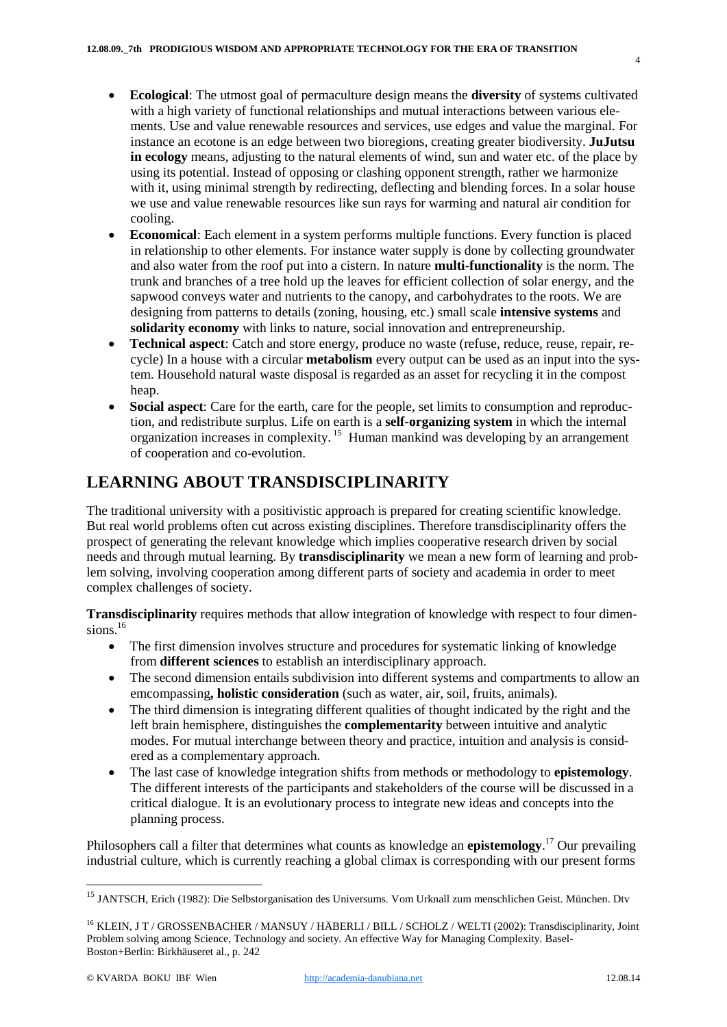- · **Ecological**: The utmost goal of permaculture design means the **diversity** of systems cultivated with a high variety of functional relationships and mutual interactions between various elements. Use and value renewable resources and services, use edges and value the marginal. For instance an ecotone is an edge between two bioregions, creating greater biodiversity. **JuJutsu in ecology** means, adjusting to the natural elements of wind, sun and water etc. of the place by using its potential. Instead of opposing or clashing opponent strength, rather we harmonize with it, using minimal strength by redirecting, deflecting and blending forces. In a solar house we use and value renewable resources like sun rays for warming and natural air condition for cooling.
- · **Economical**: Each element in a system performs multiple functions. Every function is placed in relationship to other elements. For instance water supply is done by collecting groundwater and also water from the roof put into a cistern. In nature **multi-functionality** is the norm. The trunk and branches of a tree hold up the leaves for efficient collection of solar energy, and the sapwood conveys water and nutrients to the canopy, and carbohydrates to the roots. We are designing from patterns to details (zoning, housing, etc.) small scale **intensive systems** and **solidarity economy** with links to nature, social innovation and entrepreneurship.
- · **Technical aspect**: Catch and store energy, produce no waste (refuse, reduce, reuse, repair, recycle) In a house with a circular **metabolism** every output can be used as an input into the system. Household natural waste disposal is regarded as an asset for recycling it in the compost heap.
- · **Social aspect**: Care for the earth, care for the people, set limits to consumption and reproduction, and redistribute surplus. Life on earth is a **self-organizing system** in which the internal organization increases in complexity. <sup>15</sup> Human mankind was developing by an arrangement of cooperation and co-evolution.

## **LEARNING ABOUT TRANSDISCIPLINARITY**

The traditional university with a positivistic approach is prepared for creating scientific knowledge. But real world problems often cut across existing disciplines. Therefore transdisciplinarity offers the prospect of generating the relevant knowledge which implies cooperative research driven by social needs and through mutual learning. By **transdisciplinarity** we mean a new form of learning and problem solving, involving cooperation among different parts of society and academia in order to meet complex challenges of society.

**Transdisciplinarity** requires methods that allow integration of knowledge with respect to four dimensions. $16$ 

- The first dimension involves structure and procedures for systematic linking of knowledge from **different sciences** to establish an interdisciplinary approach.
- The second dimension entails subdivision into different systems and compartments to allow an emcompassing**, holistic consideration** (such as water, air, soil, fruits, animals).
- The third dimension is integrating different qualities of thought indicated by the right and the left brain hemisphere, distinguishes the **complementarity** between intuitive and analytic modes. For mutual interchange between theory and practice, intuition and analysis is considered as a complementary approach.
- · The last case of knowledge integration shifts from methods or methodology to **epistemology**. The different interests of the participants and stakeholders of the course will be discussed in a critical dialogue. It is an evolutionary process to integrate new ideas and concepts into the planning process.

Philosophers call a filter that determines what counts as knowledge an **epistemology**. <sup>17</sup> Our prevailing industrial culture, which is currently reaching a global climax is corresponding with our present forms

<sup>&</sup>lt;sup>15</sup> JANTSCH. Erich (1982): Die Selbstorganisation des Universums. Vom Urknall zum menschlichen Geist. München. Dtv

<sup>&</sup>lt;sup>16</sup> KLEIN, J T / GROSSENBACHER / MANSUY / HÄBERLI / BILL / SCHOLZ / WELTI (2002): Transdisciplinarity, Joint Problem solving among Science, Technology and society. An effective Way for Managing Complexity. Basel-Boston+Berlin: Birkhäuseret al., p. 242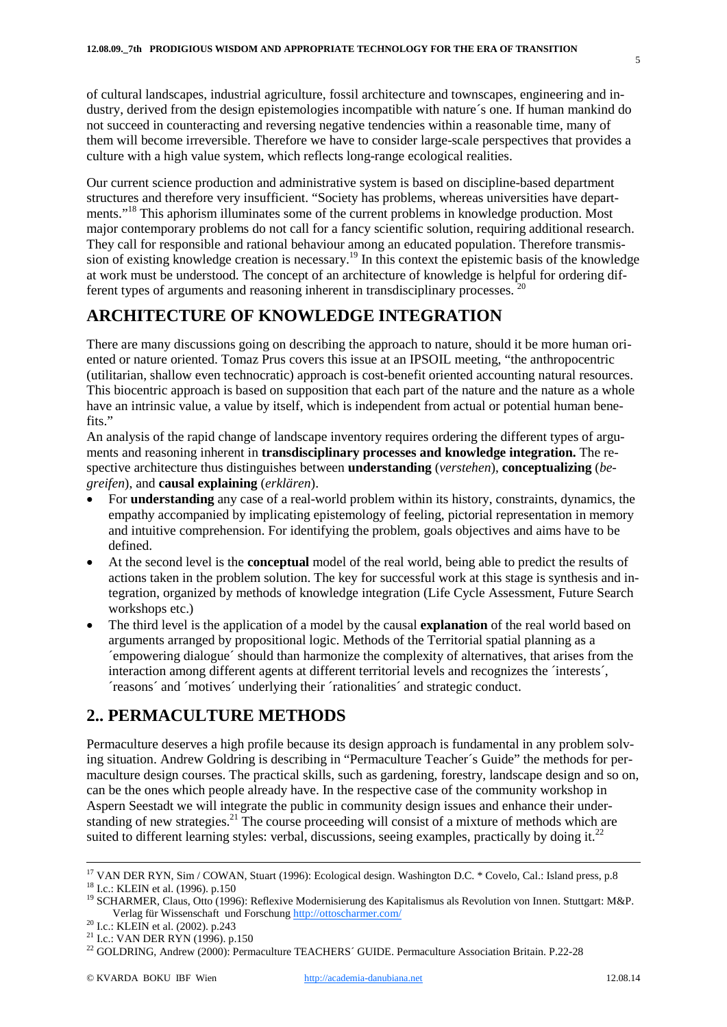of cultural landscapes, industrial agriculture, fossil architecture and townscapes, engineering and industry, derived from the design epistemologies incompatible with nature´s one. If human mankind do not succeed in counteracting and reversing negative tendencies within a reasonable time, many of them will become irreversible. Therefore we have to consider large-scale perspectives that provides a culture with a high value system, which reflects long-range ecological realities.

Our current science production and administrative system is based on discipline-based department structures and therefore very insufficient. "Society has problems, whereas universities have departments."<sup>18</sup> This aphorism illuminates some of the current problems in knowledge production. Most major contemporary problems do not call for a fancy scientific solution, requiring additional research. They call for responsible and rational behaviour among an educated population. Therefore transmission of existing knowledge creation is necessary.19 In this context the epistemic basis of the knowledge at work must be understood. The concept of an architecture of knowledge is helpful for ordering different types of arguments and reasoning inherent in transdisciplinary processes. 20

## **ARCHITECTURE OF KNOWLEDGE INTEGRATION**

There are many discussions going on describing the approach to nature, should it be more human oriented or nature oriented. Tomaz Prus covers this issue at an IPSOIL meeting, "the anthropocentric (utilitarian, shallow even technocratic) approach is cost-benefit oriented accounting natural resources. This biocentric approach is based on supposition that each part of the nature and the nature as a whole have an intrinsic value, a value by itself, which is independent from actual or potential human benefits."

An analysis of the rapid change of landscape inventory requires ordering the different types of arguments and reasoning inherent in **transdisciplinary processes and knowledge integration.** The respective architecture thus distinguishes between **understanding** (*verstehen*), **conceptualizing** (*begreifen*), and **causal explaining** (*erklären*).

- · For **understanding** any case of a real-world problem within its history, constraints, dynamics, the empathy accompanied by implicating epistemology of feeling, pictorial representation in memory and intuitive comprehension. For identifying the problem, goals objectives and aims have to be defined.
- · At the second level is the **conceptual** model of the real world, being able to predict the results of actions taken in the problem solution. The key for successful work at this stage is synthesis and integration, organized by methods of knowledge integration (Life Cycle Assessment, Future Search workshops etc.)
- · The third level is the application of a model by the causal **explanation** of the real world based on arguments arranged by propositional logic. Methods of the Territorial spatial planning as a ´empowering dialogue´ should than harmonize the complexity of alternatives, that arises from the interaction among different agents at different territorial levels and recognizes the 'interests', ´reasons´ and ´motives´ underlying their ´rationalities´ and strategic conduct.

## **2.. PERMACULTURE METHODS**

Permaculture deserves a high profile because its design approach is fundamental in any problem solving situation. Andrew Goldring is describing in "Permaculture Teacher´s Guide" the methods for permaculture design courses. The practical skills, such as gardening, forestry, landscape design and so on, can be the ones which people already have. In the respective case of the community workshop in Aspern Seestadt we will integrate the public in community design issues and enhance their understanding of new strategies.<sup>21</sup> The course proceeding will consist of a mixture of methods which are suited to different learning styles: verbal, discussions, seeing examples, practically by doing it.<sup>22</sup>

<sup>&</sup>lt;sup>17</sup> VAN DER RYN, Sim / COWAN, Stuart (1996): Ecological design. Washington D.C. \* Covelo, Cal.: Island press, p.8<br><sup>18</sup> I.c.: KLEIN et al. (1996). p.150<br><sup>19</sup> SCHARMER, Claus, Otto (1996): Reflexive Modernisierung des Kapi

Verlag für Wissenschaft und Forschung http://ottoscharmer.com/<br><sup>20</sup> I.c.: KLEIN et al. (2002). p.243<br><sup>21</sup> I.c.: VAN DER RYN (1996). p.150<br><sup>22</sup> GOLDRING, Andrew (2000): Permaculture TEACHERS' GUIDE. Permaculture Association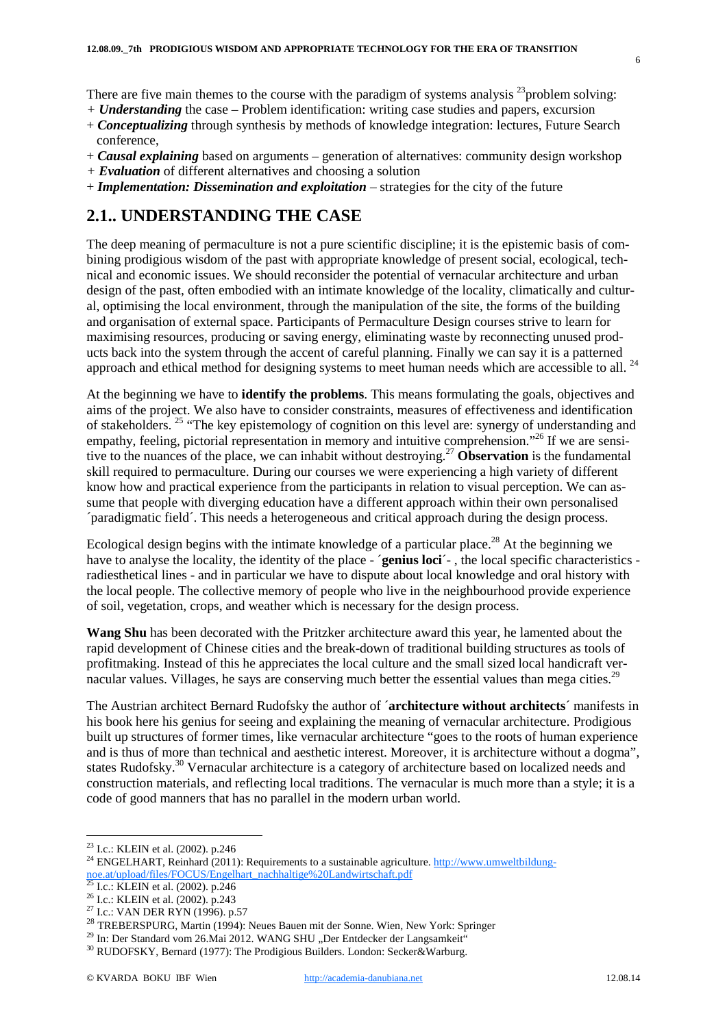- *+ Understanding* the case Problem identification: writing case studies and papers, excursion
- + *Conceptualizing* through synthesis by methods of knowledge integration: lectures, Future Search conference,
- + *Causal explaining* based on arguments generation of alternatives: community design workshop
- *+ Evaluation* of different alternatives and choosing a solution
- + *Implementation: Dissemination and exploitation* strategies for the city of the future

## **2.1.. UNDERSTANDING THE CASE**

The deep meaning of permaculture is not a pure scientific discipline; it is the epistemic basis of combining prodigious wisdom of the past with appropriate knowledge of present social, ecological, technical and economic issues. We should reconsider the potential of vernacular architecture and urban design of the past, often embodied with an intimate knowledge of the locality, climatically and cultural, optimising the local environment, through the manipulation of the site, the forms of the building and organisation of external space. Participants of Permaculture Design courses strive to learn for maximising resources, producing or saving energy, eliminating waste by reconnecting unused products back into the system through the accent of careful planning. Finally we can say it is a patterned approach and ethical method for designing systems to meet human needs which are accessible to all. <sup>24</sup>

At the beginning we have to **identify the problems**. This means formulating the goals, objectives and aims of the project. We also have to consider constraints, measures of effectiveness and identification of stakeholders. 25 "The key epistemology of cognition on this level are: synergy of understanding and empathy, feeling, pictorial representation in memory and intuitive comprehension."<sup>26</sup> If we are sensitive to the nuances of the place, we can inhabit without destroying.27 **Observation** is the fundamental skill required to permaculture. During our courses we were experiencing a high variety of different know how and practical experience from the participants in relation to visual perception. We can assume that people with diverging education have a different approach within their own personalised ´paradigmatic field´. This needs a heterogeneous and critical approach during the design process.

Ecological design begins with the intimate knowledge of a particular place.<sup>28</sup> At the beginning we have to analyse the locality, the identity of the place - *<u>genius loci*</u> -, the local specific characteristics radiesthetical lines - and in particular we have to dispute about local knowledge and oral history with the local people. The collective memory of people who live in the neighbourhood provide experience of soil, vegetation, crops, and weather which is necessary for the design process.

**Wang Shu** has been decorated with the Pritzker architecture award this year, he lamented about the rapid development of Chinese cities and the break-down of traditional building structures as tools of profitmaking. Instead of this he appreciates the local culture and the small sized local handicraft vernacular values. Villages, he says are conserving much better the essential values than mega cities.<sup>29</sup>

The Austrian architect Bernard Rudofsky the author of ´**architecture without architects**´ manifests in his book here his genius for seeing and explaining the meaning of vernacular architecture. Prodigious built up structures of former times, like vernacular architecture "goes to the roots of human experience and is thus of more than technical and aesthetic interest. Moreover, it is architecture without a dogma", states Rudofsky.<sup>30</sup> Vernacular architecture is a category of architecture based on localized needs and construction materials, and reflecting local traditions. The vernacular is much more than a style; it is a code of good manners that has no parallel in the modern urban world.

<sup>&</sup>lt;sup>23</sup> I.c.: KLEIN et al. (2002). p.246<br><sup>24</sup> ENGELHART, Reinhard (2011): Requirements to a sustainable agriculture. http://www.umweltbildungnoe.at/upload/files/FOCUS/Engelhart\_nachhaltige%20Landwirtschaft.pdf<br>
<sup>25</sup> I.c.: KLEIN et al. (2002). p.246

<sup>&</sup>lt;sup>26</sup> I.c.: KLEIN et al. (2002). p.243<br><sup>27</sup> I.c.: VAN DER RYN (1996). p.57<br><sup>28</sup> TREBERSPURG, Martin (1994): Neues Bauen mit der Sonne. Wien, New York: Springer<br><sup>29</sup> In: Der Standard vom 26.Mai 2012. WANG SHU "Der Entdecker

 $30$  RUDOFSKY, Bernard (1977): The Prodigious Builders. London: Secker & Warburg.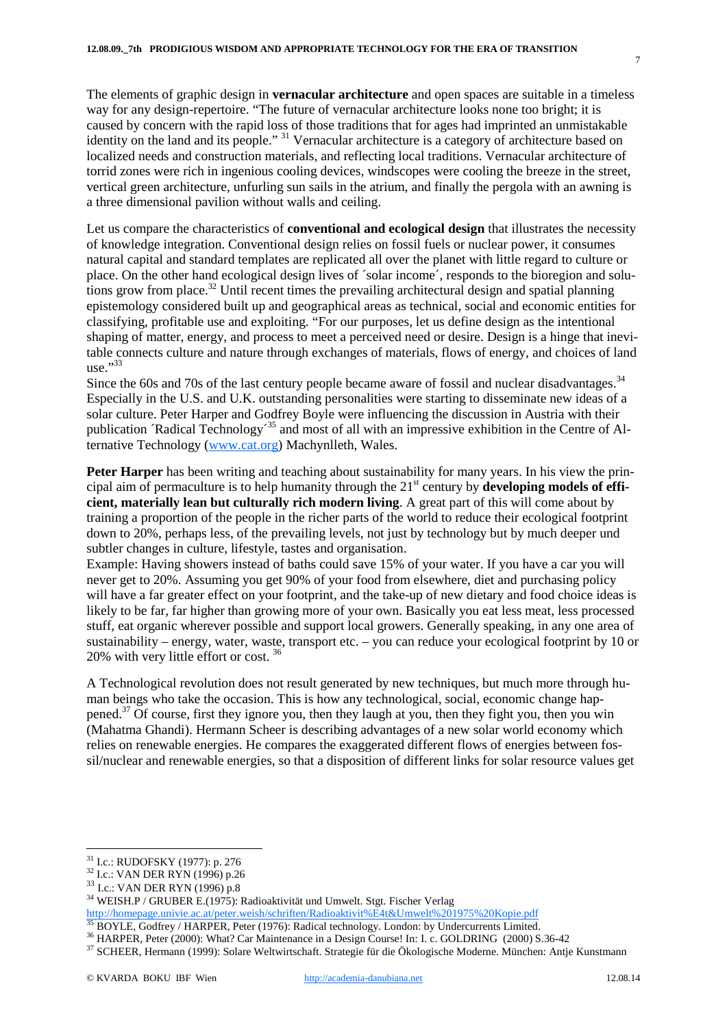The elements of graphic design in **vernacular architecture** and open spaces are suitable in a timeless way for any design-repertoire. "The future of vernacular architecture looks none too bright; it is caused by concern with the rapid loss of those traditions that for ages had imprinted an unmistakable identity on the land and its people." 31 Vernacular architecture is a category of architecture based on localized needs and construction materials, and reflecting local traditions. Vernacular architecture of torrid zones were rich in ingenious cooling devices, windscopes were cooling the breeze in the street, vertical green architecture, unfurling sun sails in the atrium, and finally the pergola with an awning is a three dimensional pavilion without walls and ceiling.

Let us compare the characteristics of **conventional and ecological design** that illustrates the necessity of knowledge integration. Conventional design relies on fossil fuels or nuclear power, it consumes natural capital and standard templates are replicated all over the planet with little regard to culture or place. On the other hand ecological design lives of ´solar income´, responds to the bioregion and solutions grow from place.<sup>32</sup> Until recent times the prevailing architectural design and spatial planning epistemology considered built up and geographical areas as technical, social and economic entities for classifying, profitable use and exploiting. "For our purposes, let us define design as the intentional shaping of matter, energy, and process to meet a perceived need or desire. Design is a hinge that inevitable connects culture and nature through exchanges of materials, flows of energy, and choices of land use." $33$ 

Since the 60s and 70s of the last century people became aware of fossil and nuclear disadvantages.<sup>34</sup> Especially in the U.S. and U.K. outstanding personalities were starting to disseminate new ideas of a solar culture. Peter Harper and Godfrey Boyle were influencing the discussion in Austria with their publication ´Radical Technology<sup>-35</sup> and most of all with an impressive exhibition in the Centre of Alternative Technology (www.cat.org) Machynlleth, Wales.

**Peter Harper** has been writing and teaching about sustainability for many years. In his view the principal aim of permaculture is to help humanity through the 21st century by **developing models of efficient, materially lean but culturally rich modern living**. A great part of this will come about by training a proportion of the people in the richer parts of the world to reduce their ecological footprint down to 20%, perhaps less, of the prevailing levels, not just by technology but by much deeper und subtler changes in culture, lifestyle, tastes and organisation.

Example: Having showers instead of baths could save 15% of your water. If you have a car you will never get to 20%. Assuming you get 90% of your food from elsewhere, diet and purchasing policy will have a far greater effect on your footprint, and the take-up of new dietary and food choice ideas is likely to be far, far higher than growing more of your own. Basically you eat less meat, less processed stuff, eat organic wherever possible and support local growers. Generally speaking, in any one area of sustainability – energy, water, waste, transport etc. – you can reduce your ecological footprint by 10 or 20% with very little effort or cost. 36

A Technological revolution does not result generated by new techniques, but much more through human beings who take the occasion. This is how any technological, social, economic change happened.<sup>37</sup> Of course, first they ignore you, then they laugh at you, then they fight you, then you win (Mahatma Ghandi). Hermann Scheer is describing advantages of a new solar world economy which relies on renewable energies. He compares the exaggerated different flows of energies between fossil/nuclear and renewable energies, so that a disposition of different links for solar resource values get

<sup>&</sup>lt;sup>31</sup> I.c.: RUDOFSKY (1977): p. 276<br><sup>32</sup> I.c.: VAN DER RYN (1996) p.26<br><sup>33</sup> I.c.: VAN DER RYN (1996) p.8

<sup>34</sup> WEISH.P / GRUBER E.(1975): Radioaktivität und Umwelt. Stgt. Fischer Verlag

http://homepage.univie.ac.at/peter.weish/schriften/Radioaktivit%E4t&Umwelt%201975%20Kopie.pdf<br><sup>35</sup> BOYLE, Godfrey / HARPER, Peter (1976): Radical technology. London: by Undercurrents Limited.

 $^{36}$  HARPER, Peter (2000): What? Car Maintenance in a Design Course! In: I. c. GOLDRING (2000) S.36-42<br><sup>37</sup> SCHEER, Hermann (1999): Solare Weltwirtschaft. Strategie für die Ökologische Moderne. München: Antje Kunstmann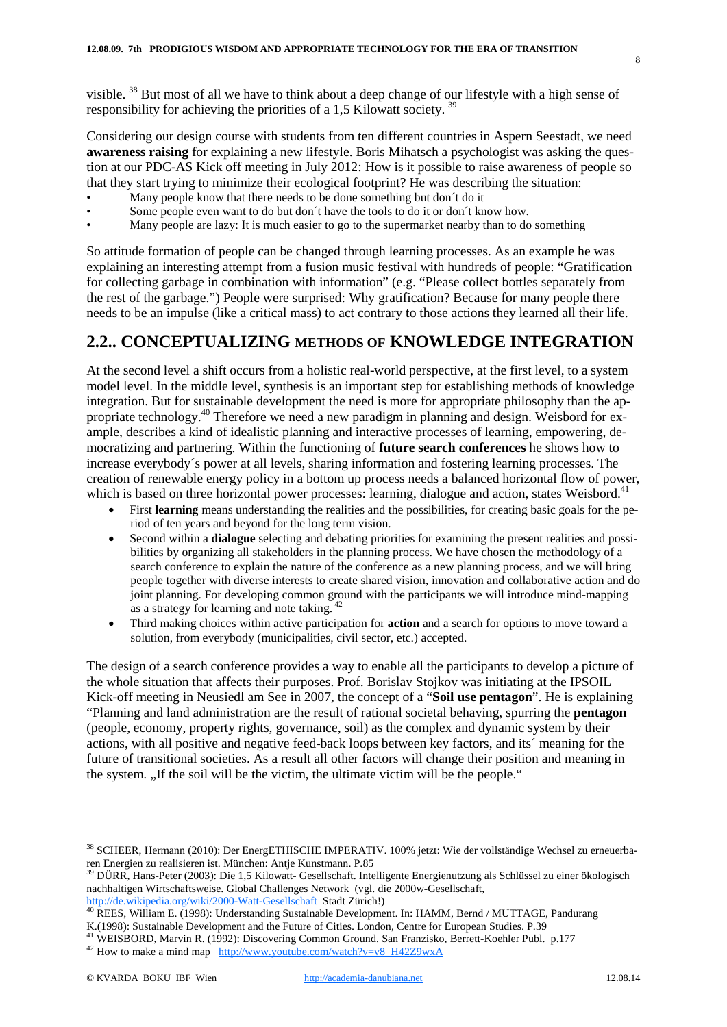visible. 38 But most of all we have to think about a deep change of our lifestyle with a high sense of responsibility for achieving the priorities of a 1,5 Kilowatt society. 39

Considering our design course with students from ten different countries in Aspern Seestadt, we need **awareness raising** for explaining a new lifestyle. Boris Mihatsch a psychologist was asking the question at our PDC-AS Kick off meeting in July 2012: How is it possible to raise awareness of people so that they start trying to minimize their ecological footprint? He was describing the situation:

- Many people know that there needs to be done something but don't do it
- Some people even want to do but don't have the tools to do it or don't know how.
- Many people are lazy: It is much easier to go to the supermarket nearby than to do something

So attitude formation of people can be changed through learning processes. As an example he was explaining an interesting attempt from a fusion music festival with hundreds of people: "Gratification for collecting garbage in combination with information" (e.g. "Please collect bottles separately from the rest of the garbage.") People were surprised: Why gratification? Because for many people there needs to be an impulse (like a critical mass) to act contrary to those actions they learned all their life.

## **2.2.. CONCEPTUALIZING METHODS OF KNOWLEDGE INTEGRATION**

At the second level a shift occurs from a holistic real-world perspective, at the first level, to a system model level. In the middle level, synthesis is an important step for establishing methods of knowledge integration. But for sustainable development the need is more for appropriate philosophy than the appropriate technology.<sup>40</sup> Therefore we need a new paradigm in planning and design. Weisbord for example, describes a kind of idealistic planning and interactive processes of learning, empowering, democratizing and partnering. Within the functioning of **future search conferences** he shows how to increase everybody´s power at all levels, sharing information and fostering learning processes. The creation of renewable energy policy in a bottom up process needs a balanced horizontal flow of power, which is based on three horizontal power processes: learning, dialogue and action, states Weisbord.<sup>41</sup>

- First **learning** means understanding the realities and the possibilities, for creating basic goals for the period of ten years and beyond for the long term vision.
- Second within a **dialogue** selecting and debating priorities for examining the present realities and possibilities by organizing all stakeholders in the planning process. We have chosen the methodology of a search conference to explain the nature of the conference as a new planning process, and we will bring people together with diverse interests to create shared vision, innovation and collaborative action and do joint planning. For developing common ground with the participants we will introduce mind-mapping as a strategy for learning and note taking. <sup>42</sup>
- · Third making choices within active participation for **action** and a search for options to move toward a solution, from everybody (municipalities, civil sector, etc.) accepted.

The design of a search conference provides a way to enable all the participants to develop a picture of the whole situation that affects their purposes. Prof. Borislav Stojkov was initiating at the IPSOIL Kick-off meeting in Neusiedl am See in 2007, the concept of a "**Soil use pentagon**". He is explaining "Planning and land administration are the result of rational societal behaving, spurring the **pentagon**  (people, economy, property rights, governance, soil) as the complex and dynamic system by their actions, with all positive and negative feed-back loops between key factors, and its´ meaning for the future of transitional societies. As a result all other factors will change their position and meaning in the system. "If the soil will be the victim, the ultimate victim will be the people."

 <sup>38</sup> SCHEER, Hermann (2010): Der EnergETHISCHE IMPERATIV. 100% jetzt: Wie der vollständige Wechsel zu erneuerbaren Energien zu realisieren ist. München: Antje Kunstmann. P.85

<sup>39</sup> DÜRR, Hans-Peter (2003): Die 1,5 Kilowatt- Gesellschaft. Intelligente Energienutzung als Schlüssel zu einer ökologisch nachhaltigen Wirtschaftsweise. Global Challenges Network (vgl. die 2000w-Gesellschaft,

http://de.wikipedia.org/wiki/2000-Watt-Gesellschaft Stadt Zürich!)<br><sup>40</sup> REES, William E. (1998): Understanding Sustainable Development. In: HAMM, Bernd / MUTTAGE, Pandurang<br>K.(1998): Sustainable Development and the Future

<sup>&</sup>lt;sup>41</sup> WEISBORD, Marvin R. (1992): Discovering Common Ground. San Franzisko, Berrett-Koehler Publ. p.177<sup>42</sup> How to make a mind map  $\frac{\text{http://www.youtube.com/watch?v=v8 H42Z9wxA}}{\text{http://www.youtube.com/watch?v=v8 H42Z9wxA}}$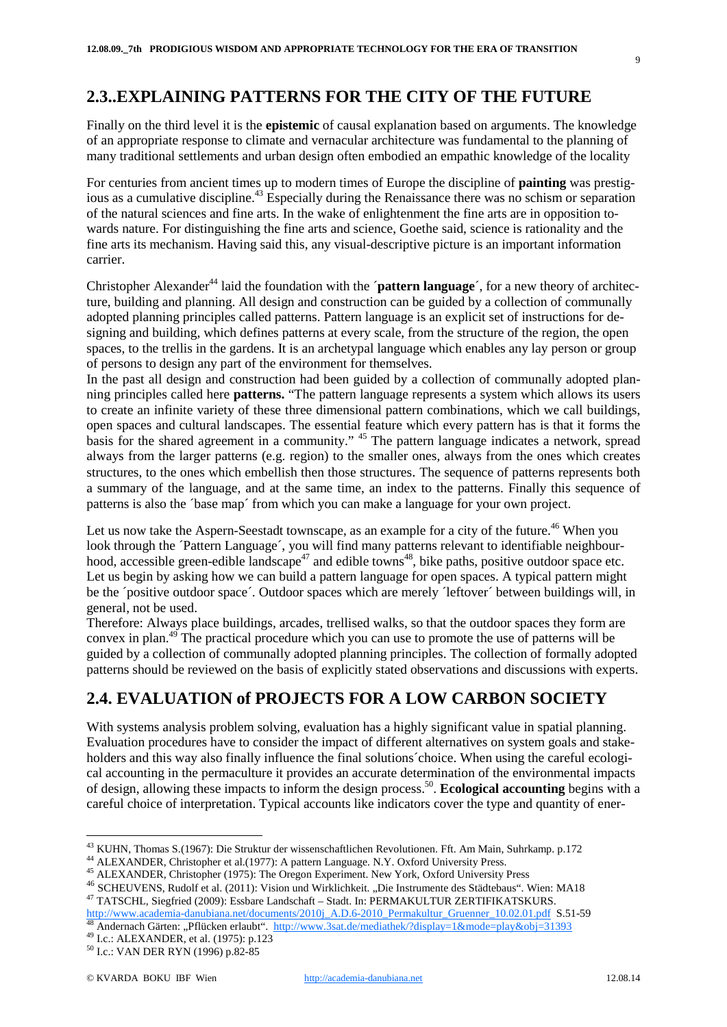#### **2.3..EXPLAINING PATTERNS FOR THE CITY OF THE FUTURE**

Finally on the third level it is the **epistemic** of causal explanation based on arguments. The knowledge of an appropriate response to climate and vernacular architecture was fundamental to the planning of many traditional settlements and urban design often embodied an empathic knowledge of the locality

For centuries from ancient times up to modern times of Europe the discipline of **painting** was prestigious as a cumulative discipline. <sup>43</sup> Especially during the Renaissance there was no schism or separation of the natural sciences and fine arts. In the wake of enlightenment the fine arts are in opposition towards nature. For distinguishing the fine arts and science, Goethe said, science is rationality and the fine arts its mechanism. Having said this, any visual-descriptive picture is an important information carrier.

Christopher Alexander<sup>44</sup> laid the foundation with the '**pattern language**', for a new theory of architecture, building and planning. All design and construction can be guided by a collection of communally adopted planning principles called patterns. Pattern language is an explicit set of instructions for designing and building, which defines patterns at every scale, from the structure of the region, the open spaces, to the trellis in the gardens. It is an archetypal language which enables any lay person or group of persons to design any part of the environment for themselves.

In the past all design and construction had been guided by a collection of communally adopted planning principles called here **patterns.** "The pattern language represents a system which allows its users to create an infinite variety of these three dimensional pattern combinations, which we call buildings, open spaces and cultural landscapes. The essential feature which every pattern has is that it forms the basis for the shared agreement in a community." <sup>45</sup> The pattern language indicates a network, spread always from the larger patterns (e.g. region) to the smaller ones, always from the ones which creates structures, to the ones which embellish then those structures. The sequence of patterns represents both a summary of the language, and at the same time, an index to the patterns. Finally this sequence of patterns is also the ´base map´ from which you can make a language for your own project.

Let us now take the Aspern-Seestadt townscape, as an example for a city of the future.<sup>46</sup> When you look through the 'Pattern Language', you will find many patterns relevant to identifiable neighbourhood, accessible green-edible landscape<sup>47</sup> and edible towns<sup>48</sup>, bike paths, positive outdoor space etc. Let us begin by asking how we can build a pattern language for open spaces. A typical pattern might be the ´positive outdoor space´. Outdoor spaces which are merely ´leftover´ between buildings will, in general, not be used.

Therefore: Always place buildings, arcades, trellised walks, so that the outdoor spaces they form are convex in plan.49 The practical procedure which you can use to promote the use of patterns will be guided by a collection of communally adopted planning principles. The collection of formally adopted patterns should be reviewed on the basis of explicitly stated observations and discussions with experts.

## **2.4. EVALUATION of PROJECTS FOR A LOW CARBON SOCIETY**

With systems analysis problem solving, evaluation has a highly significant value in spatial planning. Evaluation procedures have to consider the impact of different alternatives on system goals and stakeholders and this way also finally influence the final solutions´choice. When using the careful ecological accounting in the permaculture it provides an accurate determination of the environmental impacts of design, allowing these impacts to inform the design process.50. **Ecological accounting** begins with a careful choice of interpretation. Typical accounts like indicators cover the type and quantity of ener-

<sup>&</sup>lt;sup>43</sup> KUHN, Thomas S.(1967): Die Struktur der wissenschaftlichen Revolutionen. Fft. Am Main, Suhrkamp. p.172<br><sup>44</sup> ALEXANDER, Christopher et al.(1977): A pattern Language. N.Y. Oxford University Press.<br><sup>45</sup> ALEXANDER, Chris <sup>47</sup> TATSCHL, Siegfried (2009): Essbare Landschaft – Stadt. In: PERMAKULTUR ZERTIFIKATSKURS.<br>http://www.academia-danubiana.net/documents/2010j A.D.6-2010 Permakultur Gruenner 10.02.01.pdf S.51-59

<sup>&</sup>lt;sup>48</sup> Andernach Gärten: "Pflücken erlaubt". <u>http://www.3sat.de/mediathek/?display=1&mode=play&obj=31393</u><br><sup>49</sup> I.c.: ALEXANDER, et al. (1975): p.123<br><sup>50</sup> I.c.: VAN DER RYN (1996) p.82-85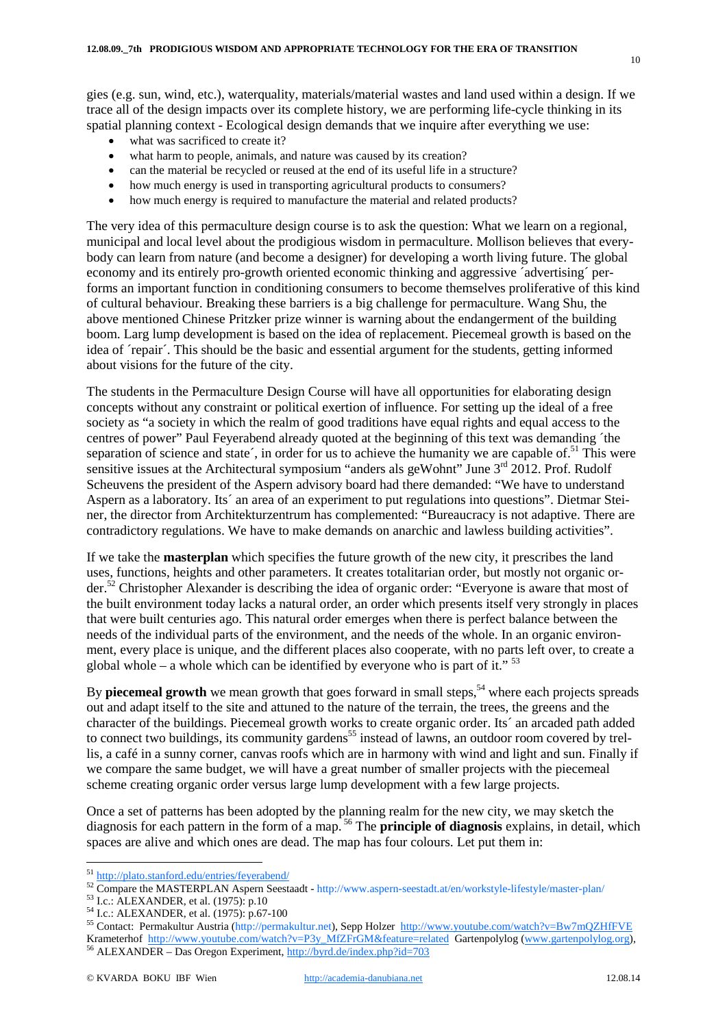gies (e.g. sun, wind, etc.), waterquality, materials/material wastes and land used within a design. If we trace all of the design impacts over its complete history, we are performing life-cycle thinking in its spatial planning context - Ecological design demands that we inquire after everything we use:

- what was sacrificed to create it?
- what harm to people, animals, and nature was caused by its creation?
- can the material be recycled or reused at the end of its useful life in a structure?
- how much energy is used in transporting agricultural products to consumers?
- how much energy is required to manufacture the material and related products?

The very idea of this permaculture design course is to ask the question: What we learn on a regional, municipal and local level about the prodigious wisdom in permaculture. Mollison believes that everybody can learn from nature (and become a designer) for developing a worth living future. The global economy and its entirely pro-growth oriented economic thinking and aggressive ´advertising´ performs an important function in conditioning consumers to become themselves proliferative of this kind of cultural behaviour. Breaking these barriers is a big challenge for permaculture. Wang Shu, the above mentioned Chinese Pritzker prize winner is warning about the endangerment of the building boom. Larg lump development is based on the idea of replacement. Piecemeal growth is based on the idea of ´repair´. This should be the basic and essential argument for the students, getting informed about visions for the future of the city.

The students in the Permaculture Design Course will have all opportunities for elaborating design concepts without any constraint or political exertion of influence. For setting up the ideal of a free society as "a society in which the realm of good traditions have equal rights and equal access to the centres of power" Paul Feyerabend already quoted at the beginning of this text was demanding ´the separation of science and state $\zeta$ , in order for us to achieve the humanity we are capable of.<sup>51</sup> This were sensitive issues at the Architectural symposium "anders als geWohnt" June 3<sup>rd</sup> 2012. Prof. Rudolf Scheuvens the president of the Aspern advisory board had there demanded: "We have to understand Aspern as a laboratory. Its´ an area of an experiment to put regulations into questions". Dietmar Steiner, the director from Architekturzentrum has complemented: "Bureaucracy is not adaptive. There are contradictory regulations. We have to make demands on anarchic and lawless building activities".

If we take the **masterplan** which specifies the future growth of the new city, it prescribes the land uses, functions, heights and other parameters. It creates totalitarian order, but mostly not organic order.52 Christopher Alexander is describing the idea of organic order: "Everyone is aware that most of the built environment today lacks a natural order, an order which presents itself very strongly in places that were built centuries ago. This natural order emerges when there is perfect balance between the needs of the individual parts of the environment, and the needs of the whole. In an organic environment, every place is unique, and the different places also cooperate, with no parts left over, to create a global whole – a whole which can be identified by everyone who is part of it."  $53$ 

By **piecemeal growth** we mean growth that goes forward in small steps,<sup>54</sup> where each projects spreads out and adapt itself to the site and attuned to the nature of the terrain, the trees, the greens and the character of the buildings. Piecemeal growth works to create organic order. Its´ an arcaded path added to connect two buildings, its community gardens<sup>55</sup> instead of lawns, an outdoor room covered by trellis, a café in a sunny corner, canvas roofs which are in harmony with wind and light and sun. Finally if we compare the same budget, we will have a great number of smaller projects with the piecemeal scheme creating organic order versus large lump development with a few large projects.

Once a set of patterns has been adopted by the planning realm for the new city, we may sketch the diagnosis for each pattern in the form of a map. <sup>56</sup> The **principle of diagnosis** explains, in detail, which spaces are alive and which ones are dead. The map has four colours. Let put them in:

10

<sup>&</sup>lt;sup>51</sup> http://plato.stanford.edu/entries/feyerabend/<br><sup>52</sup> Compare the MASTERPLAN Aspern Seestaadt - http://www.aspern-seestadt.at/en/workstyle-lifestyle/master-plan/<br><sup>53</sup> I.c.: ALEXANDER, et al. (1975): p.10<br><sup>54</sup> I.c.: ALEX Krameterhof http://www.youtube.com/watch?v=P3y\_MfZFrGM&feature=related Gartenpolylog (www.gartenpolylog.org), 56 ALEXANDER – Das Oregon Experiment, http://byrd.de/index.php?id=703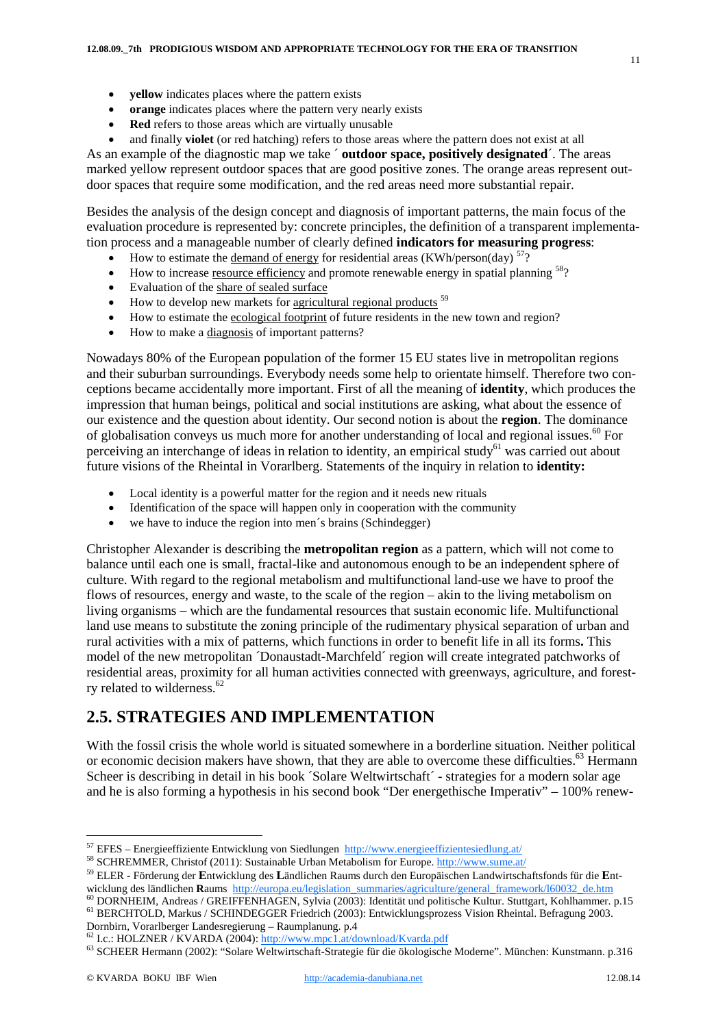- · **yellow** indicates places where the pattern exists
- **orange** indicates places where the pattern very nearly exists
- · **Red** refers to those areas which are virtually unusable
- · and finally **violet** (or red hatching) refers to those areas where the pattern does not exist at all

As an example of the diagnostic map we take ´ **outdoor space, positively designated**´. The areas marked yellow represent outdoor spaces that are good positive zones. The orange areas represent outdoor spaces that require some modification, and the red areas need more substantial repair.

Besides the analysis of the design concept and diagnosis of important patterns, the main focus of the evaluation procedure is represented by: concrete principles, the definition of a transparent implementation process and a manageable number of clearly defined **indicators for measuring progress**:

- How to estimate the <u>demand of energy</u> for residential areas (KWh/person(day)  $57$ ?
- How to increase resource efficiency and promote renewable energy in spatial planning  $58$ ?
- · Evaluation of the share of sealed surface
- $\bullet$  How to develop new markets for <u>agricultural regional prod</u>ucts  $59$
- · How to estimate the ecological footprint of future residents in the new town and region?
- · How to make a diagnosis of important patterns?

Nowadays 80% of the European population of the former 15 EU states live in metropolitan regions and their suburban surroundings. Everybody needs some help to orientate himself. Therefore two conceptions became accidentally more important. First of all the meaning of **identity**, which produces the impression that human beings, political and social institutions are asking, what about the essence of our existence and the question about identity. Our second notion is about the **region**. The dominance of globalisation conveys us much more for another understanding of local and regional issues.<sup>60</sup> For perceiving an interchange of ideas in relation to identity, an empirical study<sup>61</sup> was carried out about future visions of the Rheintal in Vorarlberg. Statements of the inquiry in relation to **identity:** 

- Local identity is a powerful matter for the region and it needs new rituals
- Identification of the space will happen only in cooperation with the community
- we have to induce the region into men's brains (Schindegger)

Christopher Alexander is describing the **metropolitan region** as a pattern, which will not come to balance until each one is small, fractal-like and autonomous enough to be an independent sphere of culture. With regard to the regional metabolism and multifunctional land-use we have to proof the flows of resources, energy and waste, to the scale of the region – akin to the living metabolism on living organisms – which are the fundamental resources that sustain economic life. Multifunctional land use means to substitute the zoning principle of the rudimentary physical separation of urban and rural activities with a mix of patterns, which functions in order to benefit life in all its forms**.** This model of the new metropolitan ´Donaustadt-Marchfeld´ region will create integrated patchworks of residential areas, proximity for all human activities connected with greenways, agriculture, and forestry related to wilderness. $62$ 

## **2.5. STRATEGIES AND IMPLEMENTATION**

With the fossil crisis the whole world is situated somewhere in a borderline situation. Neither political or economic decision makers have shown, that they are able to overcome these difficulties.<sup>63</sup> Hermann Scheer is describing in detail in his book ´Solare Weltwirtschaft´ - strategies for a modern solar age and he is also forming a hypothesis in his second book "Der energethische Imperativ" – 100% renew-

wicklung des ländlichen Raums http://europa.eu/legislation\_summaries/agriculture/general\_framework/160032\_de.htm<br><sup>60</sup> DORNHEIM, Andreas / GREIFFENHAGEN, Sylvia (2003): Identität und politische Kultur. Stuttgart, Kohlhammer

<sup>&</sup>lt;sup>57</sup> EFES – Energieeffiziente Entwicklung von Siedlungen  $\frac{http://www.energieeffizientesiedlung.at/}{http://www.energieeffizientesiedlung.at/}{\text{SCHREMMER, Christof (2011):}$  Sustainable Urban Metabolism for Europe.  $\frac{http://www.sume.at/}{http://www.sume.at/})}$ 

<sup>59</sup> ELER - Förderung der **E**ntwicklung des **L**ändlichen Raums durch den Europäischen Landwirtschaftsfonds für die **E**nt-

Dornbirn, Vorarlberger Landesregierung – Raumplanung. p.4<br>
<sup>62</sup> I.c.: HOLZNER / KVARDA (2004): http://www.mpc1.at/download/Kvarda.pdf<br>
<sup>63</sup> SCHEER Hermann (2002): "Solare Weltwirtschaft-Strategie für die ökologische Modern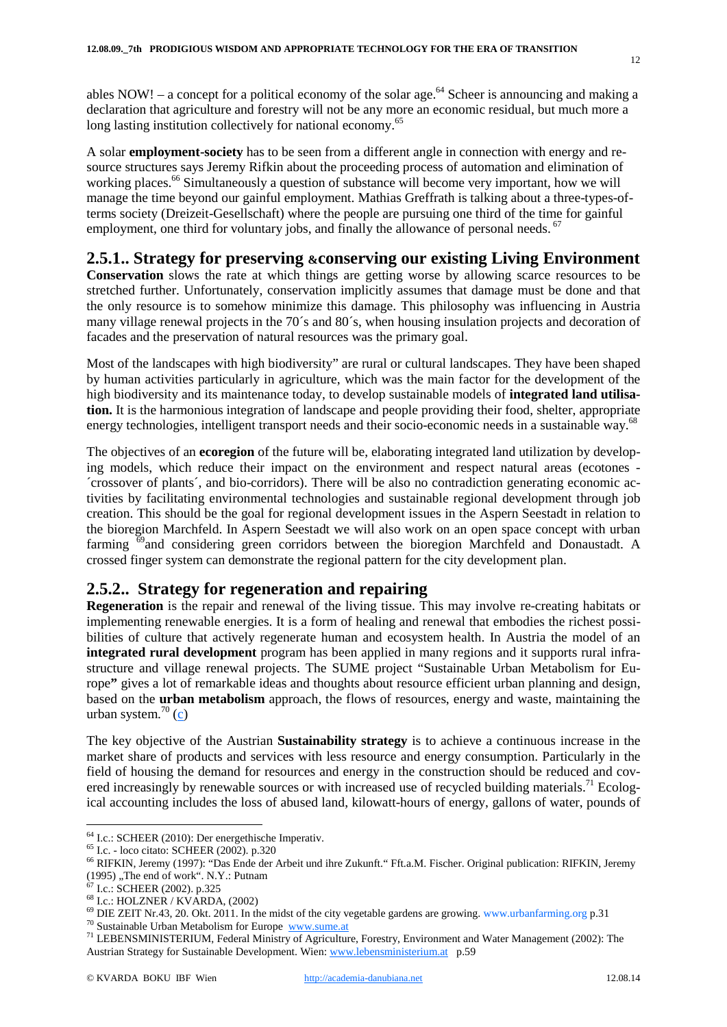ables NOW! – a concept for a political economy of the solar age.<sup>64</sup> Scheer is announcing and making a declaration that agriculture and forestry will not be any more an economic residual, but much more a long lasting institution collectively for national economy.<sup>65</sup>

A solar **employment-society** has to be seen from a different angle in connection with energy and resource structures says Jeremy Rifkin about the proceeding process of automation and elimination of working places.<sup>66</sup> Simultaneously a question of substance will become very important, how we will manage the time beyond our gainful employment. Mathias Greffrath is talking about a three-types-ofterms society (Dreizeit-Gesellschaft) where the people are pursuing one third of the time for gainful employment, one third for voluntary jobs, and finally the allowance of personal needs. <sup>67</sup>

#### **2.5.1.. Strategy for preserving &conserving our existing Living Environment**

**Conservation** slows the rate at which things are getting worse by allowing scarce resources to be stretched further. Unfortunately, conservation implicitly assumes that damage must be done and that the only resource is to somehow minimize this damage. This philosophy was influencing in Austria many village renewal projects in the 70´s and 80´s, when housing insulation projects and decoration of facades and the preservation of natural resources was the primary goal.

Most of the landscapes with high biodiversity" are rural or cultural landscapes. They have been shaped by human activities particularly in agriculture, which was the main factor for the development of the high biodiversity and its maintenance today, to develop sustainable models of **integrated land utilisation.** It is the harmonious integration of landscape and people providing their food, shelter, appropriate energy technologies, intelligent transport needs and their socio-economic needs in a sustainable way.<sup>68</sup>

The objectives of an **ecoregion** of the future will be, elaborating integrated land utilization by developing models, which reduce their impact on the environment and respect natural areas (ecotones - ´crossover of plants´, and bio-corridors). There will be also no contradiction generating economic activities by facilitating environmental technologies and sustainable regional development through job creation. This should be the goal for regional development issues in the Aspern Seestadt in relation to the bioregion Marchfeld. In Aspern Seestadt we will also work on an open space concept with urban farming 69and considering green corridors between the bioregion Marchfeld and Donaustadt. A crossed finger system can demonstrate the regional pattern for the city development plan.

#### **2.5.2.. Strategy for regeneration and repairing**

**Regeneration** is the repair and renewal of the living tissue. This may involve re-creating habitats or implementing renewable energies. It is a form of healing and renewal that embodies the richest possibilities of culture that actively regenerate human and ecosystem health. In Austria the model of an **integrated rural development** program has been applied in many regions and it supports rural infrastructure and village renewal projects. The SUME project "Sustainable Urban Metabolism for Europe**"** gives a lot of remarkable ideas and thoughts about resource efficient urban planning and design, based on the **urban metabolism** approach, the flows of resources, energy and waste, maintaining the urban system. $^{70}$  (c)

The key objective of the Austrian **Sustainability strategy** is to achieve a continuous increase in the market share of products and services with less resource and energy consumption. Particularly in the field of housing the demand for resources and energy in the construction should be reduced and covered increasingly by renewable sources or with increased use of recycled building materials.<sup>71</sup> Ecological accounting includes the loss of abused land, kilowatt-hours of energy, gallons of water, pounds of

 $12$ 

<sup>&</sup>lt;sup>64</sup> I.c.: SCHEER (2010): Der energethische Imperativ.<br>
<sup>65</sup> I.c. - loco citato: SCHEER (2002). p.320<br>
<sup>66</sup> RIFKIN, Jeremy (1997): "Das Ende der Arbeit und ihre Zukunft." Fft.a.M. Fischer. Original publication: RIFKIN, Je

<sup>&</sup>lt;sup>68</sup> I.c.: HOLZNER / KVARDA, (2002)<br><sup>69</sup> DIE ZEIT Nr.43, 20. Okt. 2011. In the midst of the city vegetable gardens are growing. www.urbanfarming.org p.31<br><sup>70</sup> Sustainable Urban Metabolism for Europe <u>www.sume.at</u><br><sup>71</sup> LEB

Austrian Strategy for Sustainable Development. Wien: www.lebensministerium.at p.59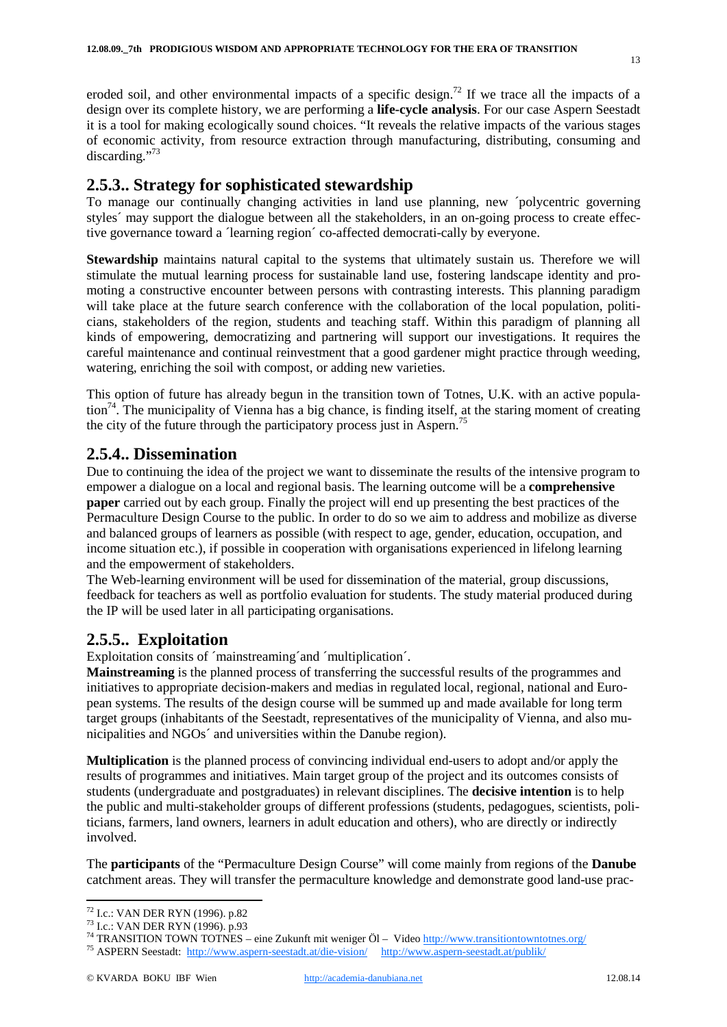eroded soil, and other environmental impacts of a specific design.<sup>72</sup> If we trace all the impacts of a design over its complete history, we are performing a **life-cycle analysis**. For our case Aspern Seestadt it is a tool for making ecologically sound choices. "It reveals the relative impacts of the various stages of economic activity, from resource extraction through manufacturing, distributing, consuming and discarding."<sup>73</sup>

#### **2.5.3.. Strategy for sophisticated stewardship**

To manage our continually changing activities in land use planning, new ´polycentric governing styles´ may support the dialogue between all the stakeholders, in an on-going process to create effective governance toward a ´learning region´ co-affected democrati-cally by everyone.

**Stewardship** maintains natural capital to the systems that ultimately sustain us. Therefore we will stimulate the mutual learning process for sustainable land use, fostering landscape identity and promoting a constructive encounter between persons with contrasting interests. This planning paradigm will take place at the future search conference with the collaboration of the local population, politicians, stakeholders of the region, students and teaching staff. Within this paradigm of planning all kinds of empowering, democratizing and partnering will support our investigations. It requires the careful maintenance and continual reinvestment that a good gardener might practice through weeding, watering, enriching the soil with compost, or adding new varieties.

This option of future has already begun in the transition town of Totnes, U.K. with an active population<sup>74</sup>. The municipality of Vienna has a big chance, is finding itself, at the staring moment of creating the city of the future through the participatory process just in Aspern.<sup>75</sup>

#### **2.5.4.. Dissemination**

Due to continuing the idea of the project we want to disseminate the results of the intensive program to empower a dialogue on a local and regional basis. The learning outcome will be a **comprehensive paper** carried out by each group. Finally the project will end up presenting the best practices of the Permaculture Design Course to the public. In order to do so we aim to address and mobilize as diverse and balanced groups of learners as possible (with respect to age, gender, education, occupation, and income situation etc.), if possible in cooperation with organisations experienced in lifelong learning and the empowerment of stakeholders.

The Web-learning environment will be used for dissemination of the material, group discussions, feedback for teachers as well as portfolio evaluation for students. The study material produced during the IP will be used later in all participating organisations.

## **2.5.5.. Exploitation**

Exploitation consits of ´mainstreaming´and ´multiplication´.

**Mainstreaming** is the planned process of transferring the successful results of the programmes and initiatives to appropriate decision-makers and medias in regulated local, regional, national and European systems. The results of the design course will be summed up and made available for long term target groups (inhabitants of the Seestadt, representatives of the municipality of Vienna, and also municipalities and NGOs´ and universities within the Danube region).

**Multiplication** is the planned process of convincing individual end-users to adopt and/or apply the results of programmes and initiatives. Main target group of the project and its outcomes consists of students (undergraduate and postgraduates) in relevant disciplines. The **decisive intention** is to help the public and multi-stakeholder groups of different professions (students, pedagogues, scientists, politicians, farmers, land owners, learners in adult education and others), who are directly or indirectly involved.

The **participants** of the "Permaculture Design Course" will come mainly from regions of the **Danube** catchment areas. They will transfer the permaculture knowledge and demonstrate good land-use prac-

<sup>&</sup>lt;sup>72</sup> I.c.: VAN DER RYN (1996). p.82<br>
<sup>73</sup> I.c.: VAN DER RYN (1996). p.93<br>
<sup>74</sup> TRANSITION TOWN TOTNES – eine Zukunft mit weniger Öl – Video <u>http://www.transitiontowntotnes.org/</u><br>
<sup>75</sup> ASPERN Seestadt: http://www.aspern-s